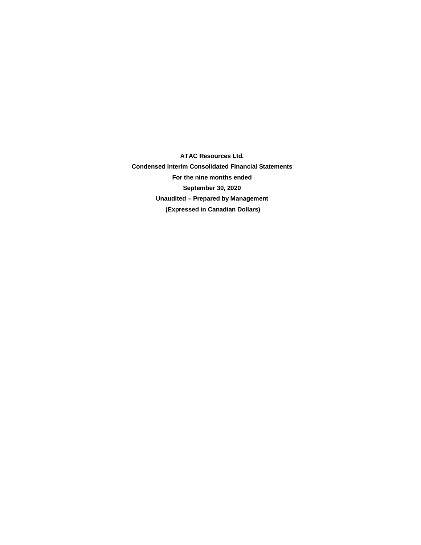**ATAC Resources Ltd. Condensed Interim Consolidated Financial Statements For the nine months ended September 30, 2020 Unaudited – Prepared by Management (Expressed in Canadian Dollars)**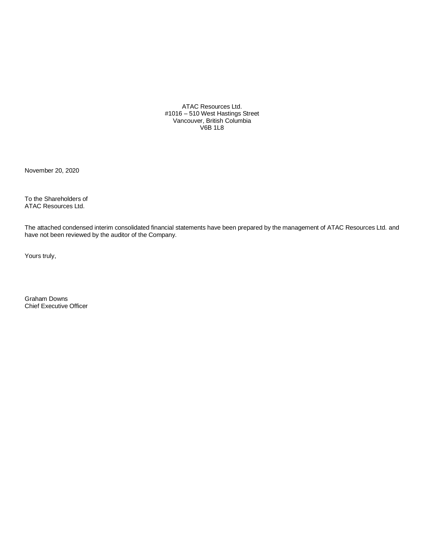ATAC Resources Ltd. #1016 – 510 West Hastings Street Vancouver, British Columbia V6B 1L8

November 20, 2020

To the Shareholders of ATAC Resources Ltd.

The attached condensed interim consolidated financial statements have been prepared by the management of ATAC Resources Ltd. and have not been reviewed by the auditor of the Company.

Yours truly,

Graham Downs Chief Executive Officer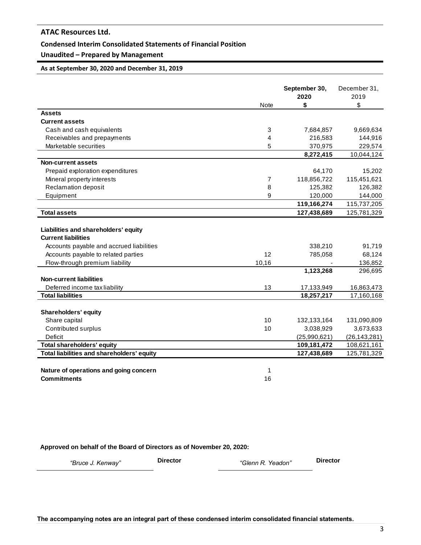### **Condensed Interim Consolidated Statements of Financial Position**

## **Unaudited – Prepared by Management**

**As at September 30, 2020 and December 31, 2019**

|                                                                    |             | September 30,<br>2020 | December 31,<br>2019 |
|--------------------------------------------------------------------|-------------|-----------------------|----------------------|
|                                                                    | <b>Note</b> | \$                    | \$                   |
| <b>Assets</b>                                                      |             |                       |                      |
| <b>Current assets</b>                                              |             |                       |                      |
| Cash and cash equivalents                                          | 3           | 7,684,857             | 9,669,634            |
| Receivables and prepayments                                        | 4           | 216,583               | 144,916              |
| Marketable securities                                              | 5           | 370,975               | 229,574              |
|                                                                    |             | 8,272,415             | 10,044,124           |
| <b>Non-current assets</b>                                          |             |                       |                      |
| Prepaid exploration expenditures                                   |             | 64,170                | 15,202               |
| Mineral property interests                                         | 7           | 118,856,722           | 115,451,621          |
| Reclamation deposit                                                | 8           | 125,382               | 126,382              |
| Equipment                                                          | 9           | 120,000               | 144,000              |
|                                                                    |             | 119,166,274           | 115,737,205          |
| <b>Total assets</b>                                                |             | 127,438,689           | 125,781,329          |
| Liabilities and shareholders' equity<br><b>Current liabilities</b> |             |                       |                      |
| Accounts payable and accrued liabilities                           |             | 338,210               | 91,719               |
| Accounts payable to related parties                                | 12          | 785,058               | 68,124               |
| Flow-through premium liability                                     | 10,16       |                       | 136,852              |
|                                                                    |             | 1,123,268             | 296,695              |
| <b>Non-current liabilities</b>                                     |             |                       |                      |
| Deferred income tax liability                                      | 13          | 17,133,949            | 16,863,473           |
| <b>Total liabilities</b>                                           |             | 18,257,217            | 17,160,168           |
| <b>Shareholders' equity</b>                                        |             |                       |                      |
| Share capital                                                      | 10          | 132,133,164           | 131,090,809          |
| Contributed surplus                                                | 10          | 3,038,929             | 3,673,633            |
| Deficit                                                            |             | (25,990,621)          | (26, 143, 281)       |
| <b>Total shareholders' equity</b>                                  |             | 109,181,472           | 108,621,161          |
| Total liabilities and shareholders' equity                         |             | 127,438,689           | 125,781,329          |
|                                                                    |             |                       |                      |
| Nature of operations and going concern                             | 1           |                       |                      |
| <b>Commitments</b>                                                 | 16          |                       |                      |

**Approved on behalf of the Board of Directors as of November 20, 2020:**

*"Bruce J. Kenway"* **Director** *"Glenn R. Yeadon"* **Director**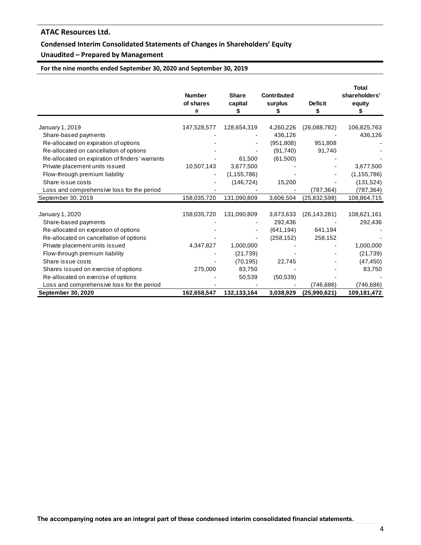## **Condensed Interim Consolidated Statements of Changes in Shareholders' Equity**

## **Unaudited – Prepared by Management**

**For the nine months ended September 30, 2020 and September 30, 2019**

|                                                 | <b>Number</b><br>of shares<br># | <b>Share</b><br>capital<br>\$ | <b>Contributed</b><br>surplus | <b>Deficit</b><br>S | <b>Total</b><br>shareholders'<br>equity |
|-------------------------------------------------|---------------------------------|-------------------------------|-------------------------------|---------------------|-----------------------------------------|
|                                                 |                                 |                               |                               |                     |                                         |
| January 1, 2019                                 | 147,528,577                     | 128,654,319                   | 4,260,226                     | (26,088,782)        | 106,825,763                             |
| Share-based payments                            |                                 |                               | 436,126                       |                     | 436,126                                 |
| Re-allocated on expiration of options           |                                 |                               | (951, 808)                    | 951,808             |                                         |
| Re-allocated on cancellation of options         |                                 |                               | (91, 740)                     | 91,740              |                                         |
| Re-allocated on expiration of finders' warrants |                                 | 61,500                        | (61,500)                      |                     |                                         |
| Private placement units issued                  | 10,507,143                      | 3,677,500                     |                               |                     | 3,677,500                               |
| Flow-through premium liability                  |                                 | (1, 155, 786)                 |                               |                     | (1, 155, 786)                           |
| Share issue costs                               |                                 | (146, 724)                    | 15,200                        |                     | (131, 524)                              |
| Loss and comprehensive loss for the period      |                                 |                               |                               | (787, 364)          | (787, 364)                              |
| September 30, 2019                              | 158,035,720                     | 131,090,809                   | 3,606,504                     | (25, 832, 598)      | 108,864,715                             |
| January 1, 2020                                 | 158,035,720                     | 131,090,809                   | 3,673,633                     | (26, 143, 281)      | 108,621,161                             |
|                                                 |                                 |                               | 292,436                       |                     |                                         |
| Share-based payments                            |                                 |                               |                               |                     | 292,436                                 |
| Re-allocated on expiration of options           |                                 |                               | (641, 194)                    | 641,194             |                                         |
| Re-allocated on cancellation of options         |                                 |                               | (258, 152)                    | 258,152             |                                         |
| Private placement units issued                  | 4,347,827                       | 1,000,000                     |                               |                     | 1,000,000                               |
| Flow-through premium liability                  |                                 | (21, 739)                     |                               |                     | (21, 739)                               |
| Share issue costs                               |                                 | (70, 195)                     | 22,745                        |                     | (47, 450)                               |
| Shares issued on exercise of options            | 275,000                         | 83,750                        |                               |                     | 83,750                                  |
| Re-allocated on exercise of options             |                                 | 50,539                        | (50, 539)                     |                     |                                         |
| Loss and comprehensive loss for the period      |                                 |                               |                               | (746,686)           | (746, 686)                              |
| <b>September 30, 2020</b>                       | 162,658,547                     | 132,133,164                   | 3,038,929                     | (25,990,621)        | 109,181,472                             |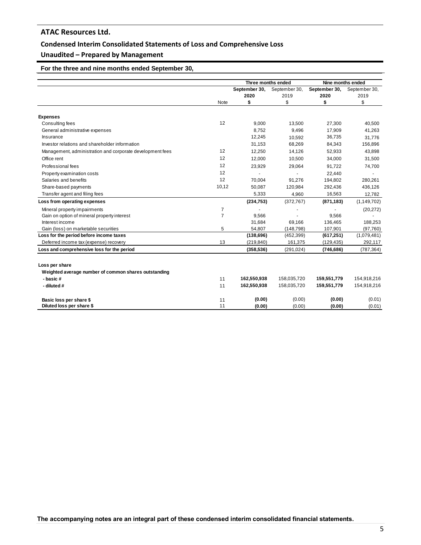### **Condensed Interim Consolidated Statements of Loss and Comprehensive Loss**

## **Unaudited – Prepared by Management**

## **For the three and nine months ended September 30,**

|                                                                  |                | Three months ended |               | Nine months ended |               |  |
|------------------------------------------------------------------|----------------|--------------------|---------------|-------------------|---------------|--|
|                                                                  |                | September 30,      | September 30, | September 30,     | September 30, |  |
|                                                                  |                | 2020               | 2019          | 2020              | 2019          |  |
|                                                                  | Note           | \$                 | \$            | \$                | \$            |  |
| <b>Expenses</b>                                                  |                |                    |               |                   |               |  |
| Consulting fees                                                  | 12             | 9,000              | 13,500        | 27,300            | 40,500        |  |
| General administrative expenses                                  |                | 8.752              | 9.496         | 17,909            | 41,263        |  |
| Insurance                                                        |                | 12,245             | 10,592        | 36,735            | 31.776        |  |
| Investor relations and shareholder information                   |                | 31,153             | 68,269        | 84,343            | 156,896       |  |
| Management, administration and corporate development fees        | 12             | 12.250             | 14,126        | 52,933            | 43,898        |  |
| Office rent                                                      | 12             | 12.000             | 10.500        | 34,000            | 31,500        |  |
| Professional fees                                                | 12             | 23,929             | 29,064        | 91.722            | 74,700        |  |
| Property examination costs                                       | 12             |                    |               | 22,440            |               |  |
| Salaries and benefits                                            | 12             | 70.004             | 91.276        | 194,802           | 280,261       |  |
| Share-based payments                                             | 10,12          | 50,087             | 120,984       | 292,436           | 436,126       |  |
| Transfer agent and filing fees                                   |                | 5,333              | 4,960         | 16,563            | 12,782        |  |
| Loss from operating expenses                                     |                | (234, 753)         | (372, 767)    | (871, 183)        | (1, 149, 702) |  |
| Mineral property impairments                                     | 7              |                    |               |                   | (20, 272)     |  |
| Gain on option of mineral property interest                      | $\overline{7}$ | 9,566              |               | 9,566             |               |  |
| Interest income                                                  |                | 31,684             | 69,166        | 136,465           | 188,253       |  |
| Gain (loss) on marketable securities                             | 5              | 54,807             | (148, 798)    | 107,901           | (97, 760)     |  |
| Loss for the period before income taxes                          |                | (138, 696)         | (452, 399)    | (617, 251)        | (1,079,481)   |  |
| Deferred income tax (expense) recovery                           | 13             | (219, 840)         | 161,375       | (129, 435)        | 292,117       |  |
| Loss and comprehensive loss for the period                       |                | (358, 536)         | (291, 024)    | (746, 686)        | (787, 364)    |  |
| Loss per share                                                   |                |                    |               |                   |               |  |
|                                                                  |                |                    |               |                   |               |  |
| Weighted average number of common shares outstanding<br>- basic# | 11             | 162,550,938        | 158,035,720   | 159,551,779       | 154,918,216   |  |
|                                                                  |                |                    |               |                   |               |  |
| - diluted #                                                      | 11             | 162,550,938        | 158,035,720   | 159,551,779       | 154,918,216   |  |
| Basic loss per share \$                                          | 11             | (0.00)             | (0.00)        | (0.00)            | (0.01)        |  |
| Diluted loss per share \$                                        | 11             | (0.00)             | (0.00)        | (0.00)            | (0.01)        |  |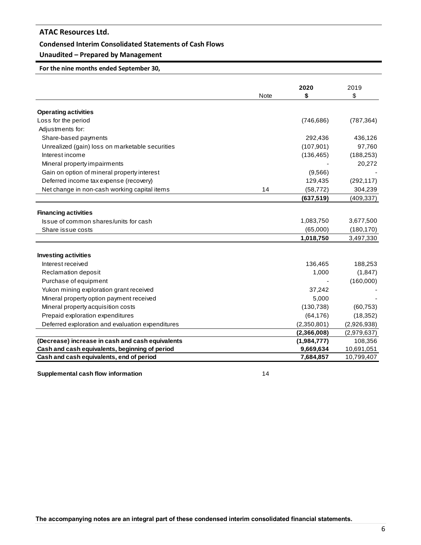### **Condensed Interim Consolidated Statements of Cash Flows**

## **Unaudited – Prepared by Management**

**For the nine months ended September 30,**

|                                                  | <b>Note</b> | 2020<br>\$  | 2019<br>\$  |
|--------------------------------------------------|-------------|-------------|-------------|
|                                                  |             |             |             |
| <b>Operating activities</b>                      |             |             |             |
| Loss for the period                              |             | (746, 686)  | (787, 364)  |
| Adjustments for:                                 |             |             |             |
| Share-based payments                             |             | 292,436     | 436,126     |
| Unrealized (gain) loss on marketable securities  |             | (107, 901)  | 97,760      |
| Interest income                                  |             | (136, 465)  | (188, 253)  |
| Mineral property impairments                     |             |             | 20,272      |
| Gain on option of mineral property interest      |             | (9,566)     |             |
| Deferred income tax expense (recovery)           |             | 129,435     | (292, 117)  |
| Net change in non-cash working capital items     | 14          | (58, 772)   | 304,239     |
|                                                  |             | (637, 519)  | (409, 337)  |
|                                                  |             |             |             |
| <b>Financing activities</b>                      |             |             |             |
| Issue of common shares/units for cash            |             | 1,083,750   | 3,677,500   |
| Share issue costs                                |             | (65,000)    | (180, 170)  |
|                                                  |             | 1,018,750   | 3,497,330   |
| <b>Investing activities</b>                      |             |             |             |
| Interest received                                |             | 136,465     | 188,253     |
| Reclamation deposit                              |             | 1,000       | (1, 847)    |
| Purchase of equipment                            |             |             | (160,000)   |
| Yukon mining exploration grant received          |             | 37,242      |             |
| Mineral property option payment received         |             | 5,000       |             |
| Mineral property acquisition costs               |             | (130, 738)  | (60, 753)   |
| Prepaid exploration expenditures                 |             | (64, 176)   | (18, 352)   |
| Deferred exploration and evaluation expenditures |             | (2,350,801) | (2,926,938) |
|                                                  |             | (2,366,008) | (2,979,637) |
| (Decrease) increase in cash and cash equivalents |             | (1,984,777) | 108,356     |
| Cash and cash equivalents, beginning of period   |             | 9,669,634   | 10,691,051  |
| Cash and cash equivalents, end of period         |             | 7,684,857   | 10,799,407  |
| Supplemental cash flow information               | 14          |             |             |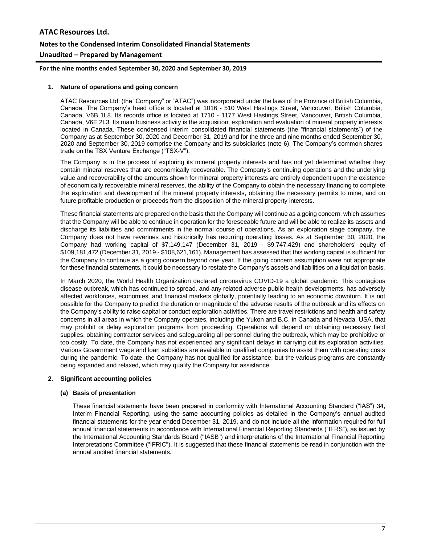# **ATAC Resources Ltd. Notes to the Condensed Interim Consolidated Financial Statements Unaudited – Prepared by Management**

**For the nine months ended September 30, 2020 and September 30, 2019**

#### **1. Nature of operations and going concern**

ATAC Resources Ltd. (the "Company" or "ATAC") was incorporated under the laws of the Province of British Columbia, Canada. The Company's head office is located at 1016 - 510 West Hastings Street, Vancouver, British Columbia, Canada, V6B 1L8. Its records office is located at 1710 - 1177 West Hastings Street, Vancouver, British Columbia, Canada, V6E 2L3. Its main business activity is the acquisition, exploration and evaluation of mineral property interests located in Canada. These condensed interim consolidated financial statements (the "financial statements") of the Company as at September 30, 2020 and December 31, 2019 and for the three and nine months ended September 30, 2020 and September 30, 2019 comprise the Company and its subsidiaries (note 6). The Company's common shares trade on the TSX Venture Exchange ("TSX-V").

The Company is in the process of exploring its mineral property interests and has not yet determined whether they contain mineral reserves that are economically recoverable. The Company's continuing operations and the underlying value and recoverability of the amounts shown for mineral property interests are entirely dependent upon the existence of economically recoverable mineral reserves, the ability of the Company to obtain the necessary financing to complete the exploration and development of the mineral property interests, obtaining the necessary permits to mine, and on future profitable production or proceeds from the disposition of the mineral property interests.

These financial statements are prepared on the basis that the Company will continue as a going concern, which assumes that the Company will be able to continue in operation for the foreseeable future and will be able to realize its assets and discharge its liabilities and commitments in the normal course of operations. As an exploration stage company, the Company does not have revenues and historically has recurring operating losses. As at September 30, 2020, the Company had working capital of \$7,149,147 (December 31, 2019 - \$9,747,429) and shareholders' equity of \$109,181,472 (December 31, 2019 - \$108,621,161). Management has assessed that this working capital is sufficient for the Company to continue as a going concern beyond one year. If the going concern assumption were not appropriate for these financial statements, it could be necessary to restate the Company's assets and liabilities on a liquidation basis.

In March 2020, the World Health Organization declared coronavirus COVID-19 a global pandemic. This contagious disease outbreak, which has continued to spread, and any related adverse public health developments, has adversely affected workforces, economies, and financial markets globally, potentially leading to an economic downturn. It is not possible for the Company to predict the duration or magnitude of the adverse results of the outbreak and its effects on the Company's ability to raise capital or conduct exploration activities. There are travel restrictions and health and safety concerns in all areas in which the Company operates, including the Yukon and B.C. in Canada and Nevada, USA, that may prohibit or delay exploration programs from proceeding. Operations will depend on obtaining necessary field supplies, obtaining contractor services and safeguarding all personnel during the outbreak, which may be prohibitive or too costly. To date, the Company has not experienced any significant delays in carrying out its exploration activities. Various Government wage and loan subsidies are available to qualified companies to assist them with operating costs during the pandemic. To date, the Company has not qualified for assistance, but the various programs are constantly being expanded and relaxed, which may qualify the Company for assistance.

### **2. Significant accounting policies**

### **(a) Basis of presentation**

These financial statements have been prepared in conformity with International Accounting Standard ("IAS") 34, Interim Financial Reporting, using the same accounting policies as detailed in the Company's annual audited financial statements for the year ended December 31, 2019, and do not include all the information required for full annual financial statements in accordance with International Financial Reporting Standards ("IFRS"), as issued by the International Accounting Standards Board ("IASB") and interpretations of the International Financial Reporting Interpretations Committee ("IFRIC"). It is suggested that these financial statements be read in conjunction with the annual audited financial statements.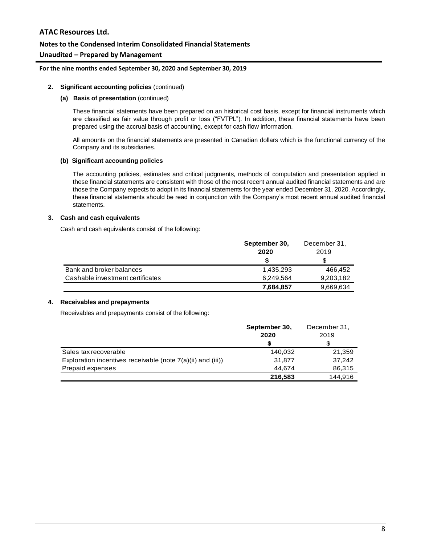### **Notes to the Condensed Interim Consolidated Financial Statements**

### **Unaudited – Prepared by Management**

#### **For the nine months ended September 30, 2020 and September 30, 2019**

#### **2. Significant accounting policies** (continued)

#### **(a) Basis of presentation** (continued)

These financial statements have been prepared on an historical cost basis, except for financial instruments which are classified as fair value through profit or loss ("FVTPL"). In addition, these financial statements have been prepared using the accrual basis of accounting, except for cash flow information.

All amounts on the financial statements are presented in Canadian dollars which is the functional currency of the Company and its subsidiaries.

#### **(b) Significant accounting policies**

The accounting policies, estimates and critical judgments, methods of computation and presentation applied in these financial statements are consistent with those of the most recent annual audited financial statements and are those the Company expects to adopt in its financial statements for the year ended December 31, 2020. Accordingly, these financial statements should be read in conjunction with the Company's most recent annual audited financial statements.

#### **3. Cash and cash equivalents**

Cash and cash equivalents consist of the following:

|                                  | September 30, | December 31, |
|----------------------------------|---------------|--------------|
|                                  | 2020          | 2019         |
|                                  | S             |              |
| Bank and broker balances         | 1,435,293     | 466.452      |
| Cashable investment certificates | 6,249,564     | 9,203,182    |
|                                  | 7,684,857     | 9,669,634    |

#### **4. Receivables and prepayments**

Receivables and prepayments consist of the following:

|                                                               | September 30, | December 31, |
|---------------------------------------------------------------|---------------|--------------|
|                                                               | 2020          | 2019         |
|                                                               |               |              |
| Sales tax recoverable                                         | 140,032       | 21,359       |
| Exploration incentives receivable (note $7(a)(ii)$ and (iii)) | 31,877        | 37.242       |
| Prepaid expenses                                              | 44.674        | 86,315       |
|                                                               | 216,583       | 144.916      |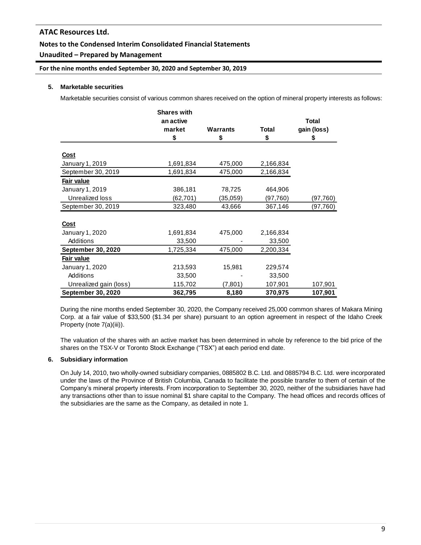## **Notes to the Condensed Interim Consolidated Financial Statements**

## **Unaudited – Prepared by Management**

### **For the nine months ended September 30, 2020 and September 30, 2019**

### **5. Marketable securities**

Marketable securities consist of various common shares received on the option of mineral property interests as follows:

|                           | <b>Shares with</b> |                 |              |             |
|---------------------------|--------------------|-----------------|--------------|-------------|
|                           | an active          |                 |              | Total       |
|                           | market             | <b>Warrants</b> | <b>Total</b> | gain (loss) |
|                           | \$                 | \$              | \$           | \$          |
| <u>Cost</u>               |                    |                 |              |             |
| January 1, 2019           | 1,691,834          | 475,000         | 2,166,834    |             |
| September 30, 2019        | 1,691,834          | 475,000         | 2,166,834    |             |
| Fair value                |                    |                 |              |             |
| January 1, 2019           | 386,181            | 78,725          | 464,906      |             |
| Unrealized loss           | (62,701)           | (35,059)        | (97, 760)    | (97, 760)   |
| September 30, 2019        | 323,480            | 43,666          | 367,146      | (97, 760)   |
|                           |                    |                 |              |             |
| <u>Cost</u>               |                    |                 |              |             |
| January 1, 2020           | 1,691,834          | 475,000         | 2,166,834    |             |
| Additions                 | 33,500             |                 | 33,500       |             |
| <b>September 30, 2020</b> | 1,725,334          | 475,000         | 2,200,334    |             |
| Fair value                |                    |                 |              |             |
| January 1, 2020           | 213,593            | 15,981          | 229,574      |             |
| Additions                 | 33,500             |                 | 33,500       |             |
| Unrealized gain (loss)    | 115,702            | (7,801)         | 107,901      | 107,901     |
| <b>September 30, 2020</b> | 362,795            | 8,180           | 370,975      | 107,901     |

During the nine months ended September 30, 2020, the Company received 25,000 common shares of Makara Mining Corp. at a fair value of \$33,500 (\$1.34 per share) pursuant to an option agreement in respect of the Idaho Creek Property (note 7(a)(iii)).

The valuation of the shares with an active market has been determined in whole by reference to the bid price of the shares on the TSX-V or Toronto Stock Exchange ("TSX") at each period end date.

### **6. Subsidiary information**

On July 14, 2010, two wholly-owned subsidiary companies, 0885802 B.C. Ltd. and 0885794 B.C. Ltd. were incorporated under the laws of the Province of British Columbia, Canada to facilitate the possible transfer to them of certain of the Company's mineral property interests. From incorporation to September 30, 2020, neither of the subsidiaries have had any transactions other than to issue nominal \$1 share capital to the Company. The head offices and records offices of the subsidiaries are the same as the Company, as detailed in note 1.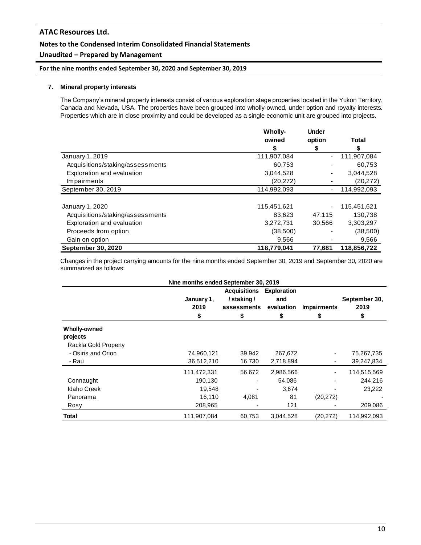## **Notes to the Condensed Interim Consolidated Financial Statements**

## **Unaudited – Prepared by Management**

## **For the nine months ended September 30, 2020 and September 30, 2019**

### **7. Mineral property interests**

The Company's mineral property interests consist of various exploration stage properties located in the Yukon Territory, Canada and Nevada, USA. The properties have been grouped into wholly-owned, under option and royalty interests. Properties which are in close proximity and could be developed as a single economic unit are grouped into projects.

|                                  | <b>Wholly-</b> | <b>Under</b> |             |
|----------------------------------|----------------|--------------|-------------|
|                                  | owned          | option       | Total       |
|                                  | \$             | S            | S           |
| January 1, 2019                  | 111,907,084    |              | 111,907,084 |
| Acquisitions/staking/assessments | 60,753         |              | 60,753      |
| Exploration and evaluation       | 3,044,528      | ٠            | 3,044,528   |
| Impairments                      | (20, 272)      |              | (20, 272)   |
| September 30, 2019               | 114,992,093    |              | 114,992,093 |
|                                  |                |              |             |
| January 1, 2020                  | 115,451,621    |              | 115,451,621 |
| Acquisitions/staking/assessments | 83.623         | 47.115       | 130,738     |
| Exploration and evaluation       | 3,272,731      | 30,566       | 3,303,297   |
| Proceeds from option             | (38,500)       |              | (38,500)    |
| Gain on option                   | 9,566          |              | 9,566       |
| <b>September 30, 2020</b>        | 118,779,041    | 77,681       | 118,856,722 |

Changes in the project carrying amounts for the nine months ended September 30, 2019 and September 30, 2020 are summarized as follows:

|                                                         | Nine months ended September 30, 2019 |                                                 |                                  |                    |                       |
|---------------------------------------------------------|--------------------------------------|-------------------------------------------------|----------------------------------|--------------------|-----------------------|
|                                                         | January 1,<br>2019                   | <b>Acquisitions</b><br>/staking/<br>assessments | Exploration<br>and<br>evaluation | <b>Impairments</b> | September 30,<br>2019 |
|                                                         | \$                                   | \$                                              | S                                | S                  | S                     |
| <b>Wholly-owned</b><br>projects<br>Rackla Gold Property |                                      |                                                 |                                  |                    |                       |
| - Osiris and Orion                                      | 74,960,121                           | 39,942                                          | 267,672                          |                    | 75,267,735            |
| - Rau                                                   | 36,512,210                           | 16,730                                          | 2,718,894                        |                    | 39,247,834            |
|                                                         | 111,472,331                          | 56,672                                          | 2,986,566                        |                    | 114,515,569           |
| Connaught                                               | 190,130                              |                                                 | 54,086                           |                    | 244,216               |
| <b>Idaho Creek</b>                                      | 19,548                               |                                                 | 3,674                            |                    | 23,222                |
| Panorama                                                | 16.110                               | 4,081                                           | 81                               | (20, 272)          |                       |
| Rosy                                                    | 208,965                              |                                                 | 121                              |                    | 209,086               |
| <b>Total</b>                                            | 111.907.084                          | 60.753                                          | 3.044.528                        | (20.272)           | 114.992.093           |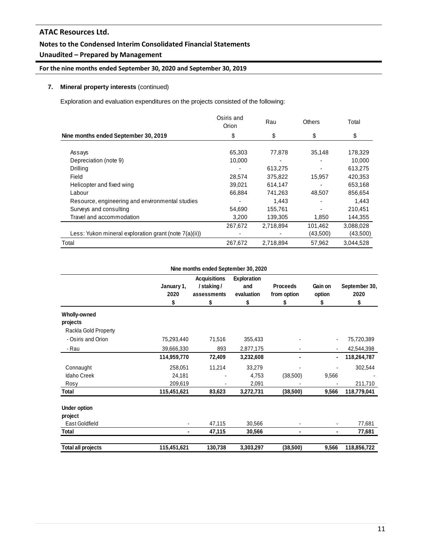## **Notes to the Condensed Interim Consolidated Financial Statements**

## **Unaudited – Prepared by Management**

## **For the nine months ended September 30, 2020 and September 30, 2019**

## **7. Mineral property interests** (continued)

Exploration and evaluation expenditures on the projects consisted of the following:

|                                                       | Osiris and<br>Orion | Rau       | <b>Others</b> | Total     |
|-------------------------------------------------------|---------------------|-----------|---------------|-----------|
| Nine months ended September 30, 2019                  | \$                  | \$        | \$            | \$        |
|                                                       |                     |           |               |           |
| Assays                                                | 65,303              | 77,878    | 35,148        | 178,329   |
| Depreciation (note 9)                                 | 10,000              | ٠         |               | 10,000    |
| Drilling                                              |                     | 613,275   |               | 613,275   |
| Field                                                 | 28,574              | 375,822   | 15,957        | 420.353   |
| Helicopter and fixed wing                             | 39,021              | 614,147   |               | 653,168   |
| Labour                                                | 66,884              | 741,263   | 48,507        | 856,654   |
| Resource, engineering and environmental studies       |                     | 1.443     |               | 1,443     |
| Surveys and consulting                                | 54,690              | 155,761   |               | 210,451   |
| Travel and accommodation                              | 3.200               | 139,305   | 1,850         | 144,355   |
|                                                       | 267,672             | 2,718,894 | 101,462       | 3,088,028 |
| Less: Yukon mineral exploration grant (note 7(a)(ii)) |                     |           | (43,500)      | (43,500)  |
| Total                                                 | 267,672             | 2,718,894 | 57,962        | 3.044.528 |

#### **Nine months ended September 30, 2020**

|                           |                          | <b>Acquisitions</b> | <b>Exploration</b> |                 |         |               |
|---------------------------|--------------------------|---------------------|--------------------|-----------------|---------|---------------|
|                           | January 1,               | /staking/           | and                | <b>Proceeds</b> | Gain on | September 30, |
|                           | 2020                     | assessments         | evaluation         | from option     | option  | 2020          |
|                           | \$                       | \$                  | \$                 | \$              | \$      | \$            |
| Wholly-owned              |                          |                     |                    |                 |         |               |
| projects                  |                          |                     |                    |                 |         |               |
| Rackla Gold Property      |                          |                     |                    |                 |         |               |
| - Osiris and Orion        | 75,293,440               | 71,516              | 355,433            |                 |         | 75,720,389    |
| - Rau                     | 39,666,330               | 893                 | 2,877,175          |                 |         | 42,544,398    |
|                           | 114,959,770              | 72,409              | 3,232,608          | $\blacksquare$  | ٠       | 118,264,787   |
| Connaught                 | 258,051                  | 11,214              | 33,279             |                 | ٠       | 302,544       |
| Idaho Creek               | 24,181                   |                     | 4,753              | (38,500)        | 9,566   |               |
| Rosy                      | 209,619                  |                     | 2,091              |                 |         | 211,710       |
| Total                     | 115,451,621              | 83,623              | 3,272,731          | (38, 500)       | 9,566   | 118,779,041   |
| Under option              |                          |                     |                    |                 |         |               |
| project                   |                          |                     |                    |                 |         |               |
| East Goldfield            | $\overline{\phantom{a}}$ | 47,115              | 30,566             |                 | ۰       | 77,681        |
| Total                     | ٠                        | 47,115              | 30,566             | ٠               | ۰       | 77,681        |
| <b>Total all projects</b> | 115,451,621              | 130,738             | 3,303,297          | (38,500)        | 9,566   | 118,856,722   |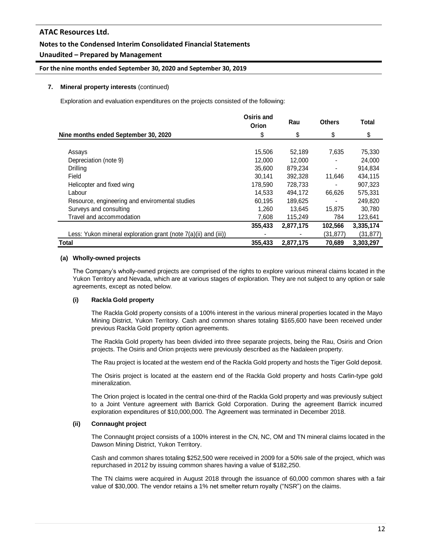## **Notes to the Condensed Interim Consolidated Financial Statements**

### **Unaudited – Prepared by Management**

### **For the nine months ended September 30, 2020 and September 30, 2019**

### **7. Mineral property interests** (continued)

Exploration and evaluation expenditures on the projects consisted of the following:

|                                                                 | Osiris and<br>Orion | Rau       | <b>Others</b> | Total     |
|-----------------------------------------------------------------|---------------------|-----------|---------------|-----------|
| Nine months ended September 30, 2020                            | \$                  | \$        | \$            | \$        |
|                                                                 |                     |           |               |           |
| Assays                                                          | 15,506              | 52,189    | 7,635         | 75,330    |
| Depreciation (note 9)                                           | 12,000              | 12,000    |               | 24,000    |
| Drilling                                                        | 35,600              | 879,234   |               | 914,834   |
| Field                                                           | 30.141              | 392.328   | 11,646        | 434,115   |
| Helicopter and fixed wing                                       | 178,590             | 728,733   |               | 907,323   |
| Labour                                                          | 14.533              | 494.172   | 66,626        | 575,331   |
| Resource, engineering and enviromental studies                  | 60.195              | 189,625   |               | 249,820   |
| Surveys and consulting                                          | 1,260               | 13.645    | 15,875        | 30,780    |
| Travel and accommodation                                        | 7,608               | 115,249   | 784           | 123,641   |
|                                                                 | 355,433             | 2,877,175 | 102,566       | 3,335,174 |
| Less: Yukon mineral exploration grant (note 7(a)(ii) and (iii)) |                     |           | (31, 877)     | (31, 877) |
| <b>Total</b>                                                    | 355,433             | 2,877,175 | 70,689        | 3.303.297 |

#### **(a) Wholly-owned projects**

The Company's wholly-owned projects are comprised of the rights to explore various mineral claims located in the Yukon Territory and Nevada, which are at various stages of exploration. They are not subject to any option or sale agreements, except as noted below.

### **(i) Rackla Gold property**

The Rackla Gold property consists of a 100% interest in the various mineral properties located in the Mayo Mining District, Yukon Territory. Cash and common shares totaling \$165,600 have been received under previous Rackla Gold property option agreements.

The Rackla Gold property has been divided into three separate projects, being the Rau, Osiris and Orion projects. The Osiris and Orion projects were previously described as the Nadaleen property.

The Rau project is located at the western end of the Rackla Gold property and hosts the Tiger Gold deposit.

The Osiris project is located at the eastern end of the Rackla Gold property and hosts Carlin-type gold mineralization.

The Orion project is located in the central one-third of the Rackla Gold property and was previously subject to a Joint Venture agreement with Barrick Gold Corporation. During the agreement Barrick incurred exploration expenditures of \$10,000,000. The Agreement was terminated in December 2018.

#### **(ii) Connaught project**

The Connaught project consists of a 100% interest in the CN, NC, OM and TN mineral claims located in the Dawson Mining District, Yukon Territory.

Cash and common shares totaling \$252,500 were received in 2009 for a 50% sale of the project, which was repurchased in 2012 by issuing common shares having a value of \$182,250.

The TN claims were acquired in August 2018 through the issuance of 60,000 common shares with a fair value of \$30,000. The vendor retains a 1% net smelter return royalty ("NSR") on the claims.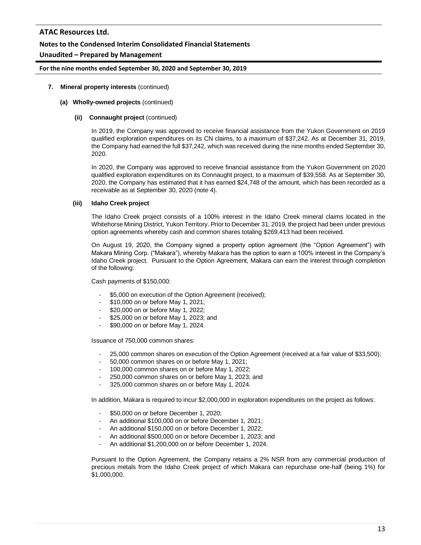### **Notes to the Condensed Interim Consolidated Financial Statements**

## **Unaudited – Prepared by Management**

### **For the nine months ended September 30, 2020 and September 30, 2019**

### **7. Mineral property interests** (continued)

#### **(a) Wholly-owned projects** (continued)

### **(ii) Connaught project** (continued)

In 2019, the Company was approved to receive financial assistance from the Yukon Government on 2019 qualified exploration expenditures on its CN claims, to a maximum of \$37,242. As at December 31, 2019, the Company had earned the full \$37,242, which was received during the nine months ended September 30, 2020.

In 2020, the Company was approved to receive financial assistance from the Yukon Government on 2020 qualified exploration expenditures on its Connaught project, to a maximum of \$39,558. As at September 30, 2020, the Company has estimated that it has earned \$24,748 of the amount, which has been recorded as a receivable as at September 30, 2020 (note 4).

#### **(iii) Idaho Creek project**

The Idaho Creek project consists of a 100% interest in the Idaho Creek mineral claims located in the Whitehorse Mining District, Yukon Territory. Prior to December 31, 2019, the project had been under previous option agreements whereby cash and common shares totaling \$269,413 had been received.

On August 19, 2020, the Company signed a property option agreement (the "Option Agreement") with Makara Mining Corp. ("Makara"), whereby Makara has the option to earn a 100% interest in the Company's Idaho Creek project. Pursuant to the Option Agreement, Makara can earn the interest through completion of the following:

Cash payments of \$150,000:

- \$5,000 on execution of the Option Agreement (received);
- \$10,000 on or before May 1, 2021;
- \$20,000 on or before May 1, 2022;
- \$25,000 on or before May 1, 2023; and
- \$90,000 on or before May 1, 2024.

Issuance of 750,000 common shares:

- 25,000 common shares on execution of the Option Agreement (received at a fair value of \$33,500);
- 50,000 common shares on or before May 1, 2021;
- 100,000 common shares on or before May 1, 2022;
- 250,000 common shares on or before May 1, 2023; and
- 325,000 common shares on or before May 1, 2024.

In addition, Makara is required to incur \$2,000,000 in exploration expenditures on the project as follows:

- \$50,000 on or before December 1, 2020;
- An additional \$100,000 on or before December 1, 2021;
- An additional \$150,000 on or before December 1, 2022;
- An additional \$500,000 on or before December 1, 2023; and
- An additional \$1,200,000 on or before December 1, 2024.

Pursuant to the Option Agreement, the Company retains a 2% NSR from any commercial production of precious metals from the Idaho Creek project of which Makara can repurchase one-half (being 1%) for \$1,000,000.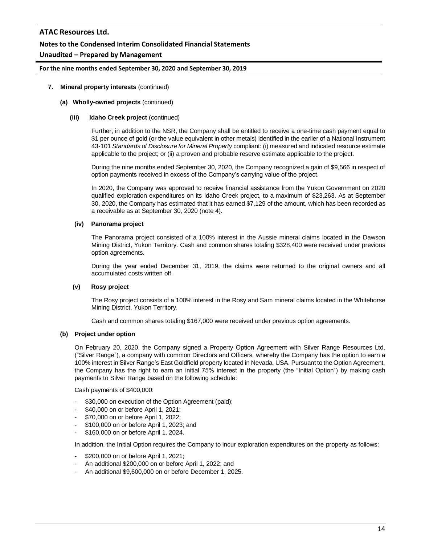### **Notes to the Condensed Interim Consolidated Financial Statements**

### **Unaudited – Prepared by Management**

### **For the nine months ended September 30, 2020 and September 30, 2019**

### **7. Mineral property interests** (continued)

#### **(a) Wholly-owned projects** (continued)

#### **(iii) Idaho Creek project** (continued)

Further, in addition to the NSR, the Company shall be entitled to receive a one-time cash payment equal to \$1 per ounce of gold (or the value equivalent in other metals) identified in the earlier of a National Instrument 43-101 *Standards of Disclosure for Mineral Property* compliant: (i) measured and indicated resource estimate applicable to the project; or (ii) a proven and probable reserve estimate applicable to the project.

During the nine months ended September 30, 2020, the Company recognized a gain of \$9,566 in respect of option payments received in excess of the Company's carrying value of the project.

In 2020, the Company was approved to receive financial assistance from the Yukon Government on 2020 qualified exploration expenditures on its Idaho Creek project, to a maximum of \$23,263. As at September 30, 2020, the Company has estimated that it has earned \$7,129 of the amount, which has been recorded as a receivable as at September 30, 2020 (note 4).

#### **(iv) Panorama project**

The Panorama project consisted of a 100% interest in the Aussie mineral claims located in the Dawson Mining District, Yukon Territory. Cash and common shares totaling \$328,400 were received under previous option agreements.

During the year ended December 31, 2019, the claims were returned to the original owners and all accumulated costs written off.

### **(v) Rosy project**

The Rosy project consists of a 100% interest in the Rosy and Sam mineral claims located in the Whitehorse Mining District, Yukon Territory.

Cash and common shares totaling \$167,000 were received under previous option agreements.

#### **(b) Project under option**

On February 20, 2020, the Company signed a Property Option Agreement with Silver Range Resources Ltd. ("Silver Range"), a company with common Directors and Officers, whereby the Company has the option to earn a 100% interest in Silver Range's East Goldfield property located in Nevada, USA. Pursuant to the Option Agreement, the Company has the right to earn an initial 75% interest in the property (the "Initial Option") by making cash payments to Silver Range based on the following schedule:

Cash payments of \$400,000:

- \$30,000 on execution of the Option Agreement (paid);
- \$40,000 on or before April 1, 2021;
- \$70,000 on or before April 1, 2022;
- \$100,000 on or before April 1, 2023; and
- \$160,000 on or before April 1, 2024.

In addition, the Initial Option requires the Company to incur exploration expenditures on the property as follows:

- \$200,000 on or before April 1, 2021;
- An additional \$200,000 on or before April 1, 2022; and
- An additional \$9,600,000 on or before December 1, 2025.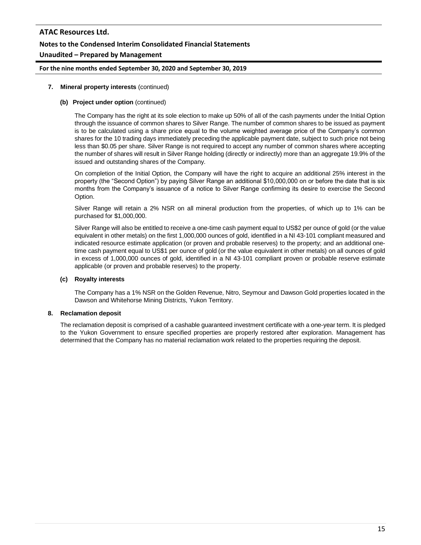## **Notes to the Condensed Interim Consolidated Financial Statements**

### **Unaudited – Prepared by Management**

### **For the nine months ended September 30, 2020 and September 30, 2019**

#### **7. Mineral property interests** (continued)

### **(b) Project under option** (continued)

The Company has the right at its sole election to make up 50% of all of the cash payments under the Initial Option through the issuance of common shares to Silver Range. The number of common shares to be issued as payment is to be calculated using a share price equal to the volume weighted average price of the Company's common shares for the 10 trading days immediately preceding the applicable payment date, subject to such price not being less than \$0.05 per share. Silver Range is not required to accept any number of common shares where accepting the number of shares will result in Silver Range holding (directly or indirectly) more than an aggregate 19.9% of the issued and outstanding shares of the Company.

On completion of the Initial Option, the Company will have the right to acquire an additional 25% interest in the property (the "Second Option") by paying Silver Range an additional \$10,000,000 on or before the date that is six months from the Company's issuance of a notice to Silver Range confirming its desire to exercise the Second Option.

Silver Range will retain a 2% NSR on all mineral production from the properties, of which up to 1% can be purchased for \$1,000,000.

Silver Range will also be entitled to receive a one-time cash payment equal to US\$2 per ounce of gold (or the value equivalent in other metals) on the first 1,000,000 ounces of gold, identified in a NI 43-101 compliant measured and indicated resource estimate application (or proven and probable reserves) to the property; and an additional onetime cash payment equal to US\$1 per ounce of gold (or the value equivalent in other metals) on all ounces of gold in excess of 1,000,000 ounces of gold, identified in a NI 43-101 compliant proven or probable reserve estimate applicable (or proven and probable reserves) to the property.

#### **(c) Royalty interests**

The Company has a 1% NSR on the Golden Revenue, Nitro, Seymour and Dawson Gold properties located in the Dawson and Whitehorse Mining Districts, Yukon Territory.

### **8. Reclamation deposit**

The reclamation deposit is comprised of a cashable guaranteed investment certificate with a one-year term. It is pledged to the Yukon Government to ensure specified properties are properly restored after exploration. Management has determined that the Company has no material reclamation work related to the properties requiring the deposit.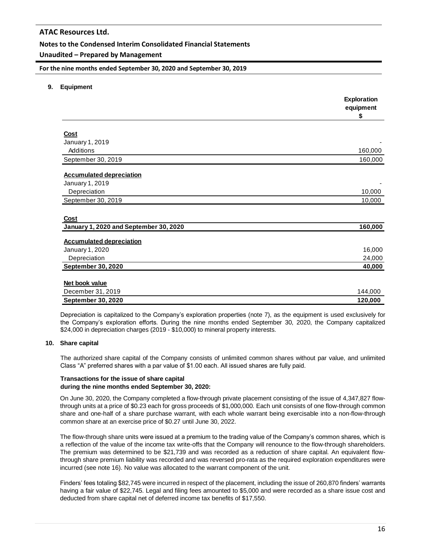### **Notes to the Condensed Interim Consolidated Financial Statements**

### **Unaudited – Prepared by Management**

**For the nine months ended September 30, 2020 and September 30, 2019**

**9. Equipment**

|                                        | Exploration<br>equipment<br>\$ |
|----------------------------------------|--------------------------------|
|                                        |                                |
| <b>Cost</b>                            |                                |
| January 1, 2019                        |                                |
| Additions                              | 160,000                        |
| September 30, 2019                     | 160,000                        |
| <b>Accumulated depreciation</b>        |                                |
| January 1, 2019                        |                                |
| Depreciation                           | 10,000                         |
| September 30, 2019                     | 10,000                         |
| Cost                                   |                                |
| January 1, 2020 and September 30, 2020 | 160,000                        |
| <b>Accumulated depreciation</b>        |                                |
| January 1, 2020                        | 16,000                         |
| Depreciation                           | 24,000                         |
| <b>September 30, 2020</b>              | 40,000                         |
| Net book value                         |                                |
| December 31, 2019                      | 144,000                        |
| <b>September 30, 2020</b>              | 120,000                        |

Depreciation is capitalized to the Company's exploration properties (note 7), as the equipment is used exclusively for the Company's exploration efforts. During the nine months ended September 30, 2020, the Company capitalized \$24,000 in depreciation charges (2019 - \$10,000) to mineral property interests.

#### **10. Share capital**

The authorized share capital of the Company consists of unlimited common shares without par value, and unlimited Class "A" preferred shares with a par value of \$1.00 each. All issued shares are fully paid.

#### **Transactions for the issue of share capital during the nine months ended September 30, 2020:**

On June 30, 2020, the Company completed a flow-through private placement consisting of the issue of 4,347,827 flowthrough units at a price of \$0.23 each for gross proceeds of \$1,000,000. Each unit consists of one flow-through common share and one-half of a share purchase warrant, with each whole warrant being exercisable into a non-flow-through common share at an exercise price of \$0.27 until June 30, 2022.

The flow-through share units were issued at a premium to the trading value of the Company's common shares, which is a reflection of the value of the income tax write-offs that the Company will renounce to the flow-through shareholders. The premium was determined to be \$21,739 and was recorded as a reduction of share capital. An equivalent flowthrough share premium liability was recorded and was reversed pro-rata as the required exploration expenditures were incurred (see note 16). No value was allocated to the warrant component of the unit.

Finders' fees totaling \$82,745 were incurred in respect of the placement, including the issue of 260,870 finders' warrants having a fair value of \$22,745. Legal and filing fees amounted to \$5,000 and were recorded as a share issue cost and deducted from share capital net of deferred income tax benefits of \$17,550.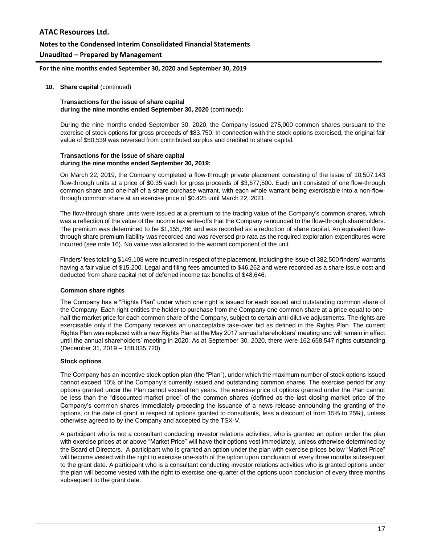### **Notes to the Condensed Interim Consolidated Financial Statements**

### **Unaudited – Prepared by Management**

#### **For the nine months ended September 30, 2020 and September 30, 2019**

#### **10. Share capital** (continued)

#### **Transactions for the issue of share capital during the nine months ended September 30, 2020** (continued)**:**

During the nine months ended September 30, 2020, the Company issued 275,000 common shares pursuant to the exercise of stock options for gross proceeds of \$83,750. In connection with the stock options exercised, the original fair value of \$50,539 was reversed from contributed surplus and credited to share capital.

#### **Transactions for the issue of share capital during the nine months ended September 30, 2019:**

On March 22, 2019, the Company completed a flow-through private placement consisting of the issue of 10,507,143 flow-through units at a price of \$0.35 each for gross proceeds of \$3,677,500. Each unit consisted of one flow-through common share and one-half of a share purchase warrant, with each whole warrant being exercisable into a non-flowthrough common share at an exercise price of \$0.425 until March 22, 2021.

The flow-through share units were issued at a premium to the trading value of the Company's common shares, which was a reflection of the value of the income tax write-offs that the Company renounced to the flow-through shareholders. The premium was determined to be \$1,155,786 and was recorded as a reduction of share capital. An equivalent flowthrough share premium liability was recorded and was reversed pro-rata as the required exploration expenditures were incurred (see note 16). No value was allocated to the warrant component of the unit.

Finders' fees totaling \$149,108 were incurred in respect of the placement, including the issue of 382,500 finders' warrants having a fair value of \$15,200. Legal and filing fees amounted to \$46,262 and were recorded as a share issue cost and deducted from share capital net of deferred income tax benefits of \$48,646.

#### **Common share rights**

The Company has a "Rights Plan" under which one right is issued for each issued and outstanding common share of the Company. Each right entitles the holder to purchase from the Company one common share at a price equal to onehalf the market price for each common share of the Company, subject to certain anti-dilutive adjustments. The rights are exercisable only if the Company receives an unacceptable take-over bid as defined in the Rights Plan. The current Rights Plan was replaced with a new Rights Plan at the May 2017 annual shareholders' meeting and will remain in effect until the annual shareholders' meeting in 2020. As at September 30, 2020, there were 162,658,547 rights outstanding (December 31, 2019 – 158,035,720).

#### **Stock options**

The Company has an incentive stock option plan (the "Plan"), under which the maximum number of stock options issued cannot exceed 10% of the Company's currently issued and outstanding common shares. The exercise period for any options granted under the Plan cannot exceed ten years. The exercise price of options granted under the Plan cannot be less than the "discounted market price" of the common shares (defined as the last closing market price of the Company's common shares immediately preceding the issuance of a news release announcing the granting of the options, or the date of grant in respect of options granted to consultants, less a discount of from 15% to 25%), unless otherwise agreed to by the Company and accepted by the TSX-V.

A participant who is not a consultant conducting investor relations activities, who is granted an option under the plan with exercise prices at or above "Market Price" will have their options vest immediately, unless otherwise determined by the Board of Directors. A participant who is granted an option under the plan with exercise prices below "Market Price" will become vested with the right to exercise one-sixth of the option upon conclusion of every three months subsequent to the grant date. A participant who is a consultant conducting investor relations activities who is granted options under the plan will become vested with the right to exercise one-quarter of the options upon conclusion of every three months subsequent to the grant date.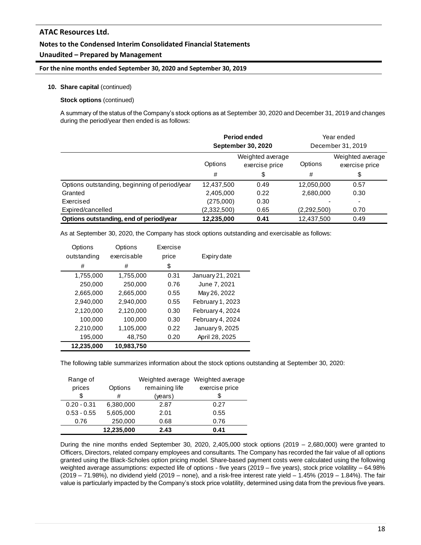### **Notes to the Condensed Interim Consolidated Financial Statements**

### **Unaudited – Prepared by Management**

#### **For the nine months ended September 30, 2020 and September 30, 2019**

#### **10. Share capital** (continued)

#### **Stock options** (continued)

A summary of the status of the Company's stock options as at September 30, 2020 and December 31, 2019 and changes during the period/year then ended is as follows:

|                                               | Period ended<br><b>September 30, 2020</b>     |      | Year ended<br>December 31, 2019 |                                    |
|-----------------------------------------------|-----------------------------------------------|------|---------------------------------|------------------------------------|
|                                               | Weighted average<br>Options<br>exercise price |      | Options                         | Weighted average<br>exercise price |
|                                               | #                                             | \$   | #                               | \$                                 |
| Options outstanding, beginning of period/year | 12,437,500                                    | 0.49 | 12,050,000                      | 0.57                               |
| Granted                                       | 2,405,000                                     | 0.22 | 2,680,000                       | 0.30                               |
| Exercised                                     | (275,000)                                     | 0.30 |                                 | $\blacksquare$                     |
| Expired/cancelled                             | (2,332,500)                                   | 0.65 | (2,292,500)                     | 0.70                               |
| Options outstanding, end of period/year       | 12,235,000                                    | 0.41 | 12.437.500                      | 0.49                               |

As at September 30, 2020, the Company has stock options outstanding and exercisable as follows:

| 12.235.000  | 10.983.750  |          |                  |
|-------------|-------------|----------|------------------|
| 195,000     | 48,750      | 0.20     | April 28, 2025   |
| 2,210,000   | 1,105,000   | 0.22     | January 9, 2025  |
| 100,000     | 100,000     | 0.30     | February 4, 2024 |
| 2,120,000   | 2,120,000   | 0.30     | February 4, 2024 |
| 2,940,000   | 2,940,000   | 0.55     | February 1, 2023 |
| 2,665,000   | 2,665,000   | 0.55     | May 26, 2022     |
| 250,000     | 250,000     | 0.76     | June 7, 2021     |
| 1,755,000   | 1,755,000   | 0.31     | January 21, 2021 |
| #           | #           | \$       |                  |
| outstanding | exercisable | price    | Expiry date      |
| Options     | Options     | Exercise |                  |

The following table summarizes information about the stock options outstanding at September 30, 2020:

| Range of      |            | Weighted average | Weighted average |
|---------------|------------|------------------|------------------|
| prices        | Options    | remaining life   | exercise price   |
| \$            | #          | (years)          |                  |
| $0.20 - 0.31$ | 6,380,000  | 2.87             | 0.27             |
| $0.53 - 0.55$ | 5,605,000  | 2.01             | 0.55             |
| 0.76          | 250,000    | 0.68             | 0.76             |
|               | 12,235,000 | 2.43             | 0.41             |

During the nine months ended September 30, 2020, 2,405,000 stock options  $(2019 - 2,680,000)$  were granted to Officers, Directors, related company employees and consultants. The Company has recorded the fair value of all options granted using the Black-Scholes option pricing model. Share-based payment costs were calculated using the following weighted average assumptions: expected life of options - five years (2019 – five years), stock price volatility – 64.98% (2019 – 71.98%), no dividend yield (2019 – none), and a risk-free interest rate yield – 1.45% (2019 – 1.84%). The fair value is particularly impacted by the Company's stock price volatility, determined using data from the previous five years.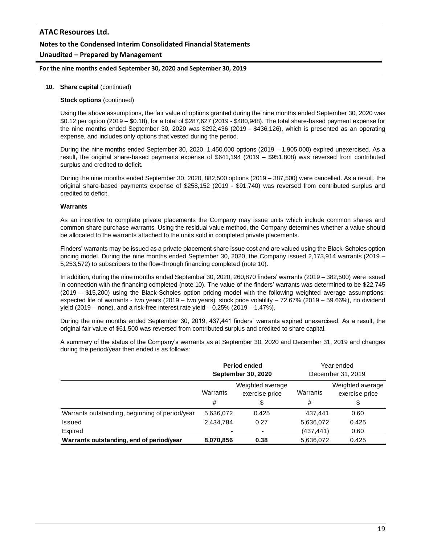# **ATAC Resources Ltd. Notes to the Condensed Interim Consolidated Financial Statements Unaudited – Prepared by Management**

#### **For the nine months ended September 30, 2020 and September 30, 2019**

#### **10. Share capital** (continued)

#### **Stock options** (continued)

Using the above assumptions, the fair value of options granted during the nine months ended September 30, 2020 was \$0.12 per option (2019 – \$0.18), for a total of \$287,627 (2019 - \$480,948). The total share-based payment expense for the nine months ended September 30, 2020 was \$292,436 (2019 - \$436,126), which is presented as an operating expense, and includes only options that vested during the period.

During the nine months ended September 30, 2020, 1,450,000 options (2019 – 1,905,000) expired unexercised. As a result, the original share-based payments expense of \$641,194 (2019 – \$951,808) was reversed from contributed surplus and credited to deficit.

During the nine months ended September 30, 2020, 882,500 options (2019 – 387,500) were cancelled. As a result, the original share-based payments expense of \$258,152 (2019 - \$91,740) was reversed from contributed surplus and credited to deficit.

#### **Warrants**

As an incentive to complete private placements the Company may issue units which include common shares and common share purchase warrants. Using the residual value method, the Company determines whether a value should be allocated to the warrants attached to the units sold in completed private placements.

Finders' warrants may be issued as a private placement share issue cost and are valued using the Black-Scholes option pricing model. During the nine months ended September 30, 2020, the Company issued 2,173,914 warrants (2019 – 5,253,572) to subscribers to the flow-through financing completed (note 10).

In addition, during the nine months ended September 30, 2020, 260,870 finders' warrants (2019 – 382,500) were issued in connection with the financing completed (note 10). The value of the finders' warrants was determined to be \$22,745 (2019 – \$15,200) using the Black-Scholes option pricing model with the following weighted average assumptions: expected life of warrants - two years (2019 – two years), stock price volatility – 72.67% (2019 – 59.66%), no dividend yield (2019 – none), and a risk-free interest rate yield  $-0.25\%$  (2019 – 1.47%).

During the nine months ended September 30, 2019, 437,441 finders' warrants expired unexercised. As a result, the original fair value of \$61,500 was reversed from contributed surplus and credited to share capital.

A summary of the status of the Company's warrants as at September 30, 2020 and December 31, 2019 and changes during the period/year then ended is as follows:

|                                                | Period ended<br><b>September 30, 2020</b>      |                          | Year ended<br>December 31, 2019 |                                    |
|------------------------------------------------|------------------------------------------------|--------------------------|---------------------------------|------------------------------------|
|                                                | Weighted average<br>Warrants<br>exercise price |                          | Warrants                        | Weighted average<br>exercise price |
|                                                | #                                              | \$                       | #                               | \$                                 |
| Warrants outstanding, beginning of period/year | 5,636,072                                      | 0.425                    | 437,441                         | 0.60                               |
| <b>Issued</b>                                  | 2,434,784                                      | 0.27                     | 5,636,072                       | 0.425                              |
| Expired                                        |                                                | $\overline{\phantom{a}}$ | (437, 441)                      | 0.60                               |
| Warrants outstanding, end of period/year       | 8,070,856                                      | 0.38                     | 5,636,072                       | 0.425                              |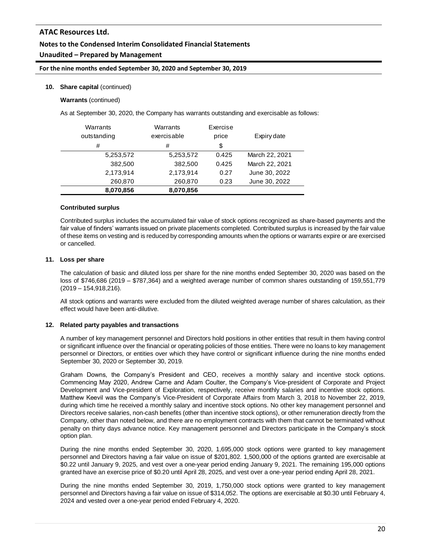# **Notes to the Condensed Interim Consolidated Financial Statements**

## **Unaudited – Prepared by Management**

### **For the nine months ended September 30, 2020 and September 30, 2019**

### **10. Share capital** (continued)

### **Warrants** (continued)

As at September 30, 2020, the Company has warrants outstanding and exercisable as follows:

| Warrants<br>outstanding | Warrants<br>exercisable | Exercise<br>price | Expiry date    |
|-------------------------|-------------------------|-------------------|----------------|
| #                       | #                       | \$                |                |
| 5,253,572               | 5,253,572               | 0.425             | March 22, 2021 |
| 382,500                 | 382,500                 | 0.425             | March 22, 2021 |
| 2,173,914               | 2,173,914               | 0.27              | June 30, 2022  |
| 260,870                 | 260,870                 | 0.23              | June 30, 2022  |
| 8,070,856               | 8,070,856               |                   |                |

#### **Contributed surplus**

Contributed surplus includes the accumulated fair value of stock options recognized as share-based payments and the fair value of finders' warrants issued on private placements completed. Contributed surplus is increased by the fair value of these items on vesting and is reduced by corresponding amounts when the options or warrants expire or are exercised or cancelled.

#### **11. Loss per share**

The calculation of basic and diluted loss per share for the nine months ended September 30, 2020 was based on the loss of \$746,686 (2019 – \$787,364) and a weighted average number of common shares outstanding of 159,551,779 (2019 – 154,918,216).

All stock options and warrants were excluded from the diluted weighted average number of shares calculation, as their effect would have been anti-dilutive.

#### **12. Related party payables and transactions**

A number of key management personnel and Directors hold positions in other entities that result in them having control or significant influence over the financial or operating policies of those entities. There were no loans to key management personnel or Directors, or entities over which they have control or significant influence during the nine months ended September 30, 2020 or September 30, 2019.

Graham Downs, the Company's President and CEO, receives a monthly salary and incentive stock options. Commencing May 2020, Andrew Carne and Adam Coulter, the Company's Vice-president of Corporate and Project Development and Vice-president of Exploration, respectively, receive monthly salaries and incentive stock options. Matthew Keevil was the Company's Vice-President of Corporate Affairs from March 3, 2018 to November 22, 2019, during which time he received a monthly salary and incentive stock options. No other key management personnel and Directors receive salaries, non-cash benefits (other than incentive stock options), or other remuneration directly from the Company, other than noted below, and there are no employment contracts with them that cannot be terminated without penalty on thirty days advance notice. Key management personnel and Directors participate in the Company's stock option plan.

During the nine months ended September 30, 2020, 1,695,000 stock options were granted to key management personnel and Directors having a fair value on issue of \$201,802. 1,500,000 of the options granted are exercisable at \$0.22 until January 9, 2025, and vest over a one-year period ending January 9, 2021. The remaining 195,000 options granted have an exercise price of \$0.20 until April 28, 2025, and vest over a one-year period ending April 28, 2021.

During the nine months ended September 30, 2019, 1,750,000 stock options were granted to key management personnel and Directors having a fair value on issue of \$314,052. The options are exercisable at \$0.30 until February 4, 2024 and vested over a one-year period ended February 4, 2020.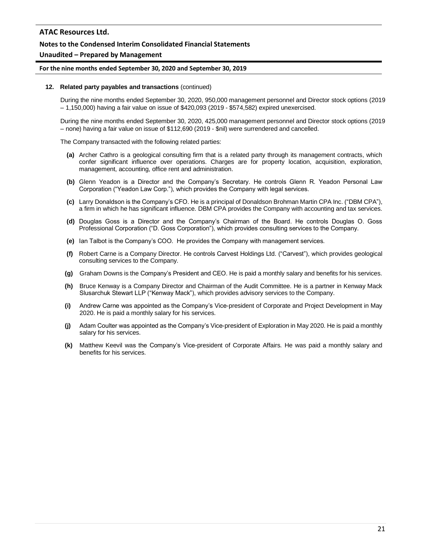### **Notes to the Condensed Interim Consolidated Financial Statements**

#### **Unaudited – Prepared by Management**

#### **For the nine months ended September 30, 2020 and September 30, 2019**

#### **12. Related party payables and transactions** (continued)

During the nine months ended September 30, 2020, 950,000 management personnel and Director stock options (2019 – 1,150,000) having a fair value on issue of \$420,093 (2019 - \$574,582) expired unexercised.

During the nine months ended September 30, 2020, 425,000 management personnel and Director stock options (2019 – none) having a fair value on issue of \$112,690 (2019 - \$nil) were surrendered and cancelled.

The Company transacted with the following related parties:

- **(a)** Archer Cathro is a geological consulting firm that is a related party through its management contracts, which confer significant influence over operations. Charges are for property location, acquisition, exploration, management, accounting, office rent and administration.
- **(b)** Glenn Yeadon is a Director and the Company's Secretary. He controls Glenn R. Yeadon Personal Law Corporation ("Yeadon Law Corp."), which provides the Company with legal services.
- **(c)** Larry Donaldson is the Company's CFO. He is a principal of Donaldson Brohman Martin CPA Inc. ("DBM CPA"), a firm in which he has significant influence. DBM CPA provides the Company with accounting and tax services.
- **(d)** Douglas Goss is a Director and the Company's Chairman of the Board. He controls Douglas O. Goss Professional Corporation ("D. Goss Corporation"), which provides consulting services to the Company.
- **(e)** Ian Talbot is the Company's COO. He provides the Company with management services.
- **(f)** Robert Carne is a Company Director. He controls Carvest Holdings Ltd. ("Carvest"), which provides geological consulting services to the Company.
- **(g)** Graham Downs is the Company's President and CEO. He is paid a monthly salary and benefits for his services.
- **(h)** Bruce Kenway is a Company Director and Chairman of the Audit Committee. He is a partner in Kenway Mack Slusarchuk Stewart LLP ("Kenway Mack"), which provides advisory services to the Company.
- **(i)** Andrew Carne was appointed as the Company's Vice-president of Corporate and Project Development in May 2020. He is paid a monthly salary for his services.
- **(j)** Adam Coulter was appointed as the Company's Vice-president of Exploration in May 2020. He is paid a monthly salary for his services.
- **(k)** Matthew Keevil was the Company's Vice-president of Corporate Affairs. He was paid a monthly salary and benefits for his services.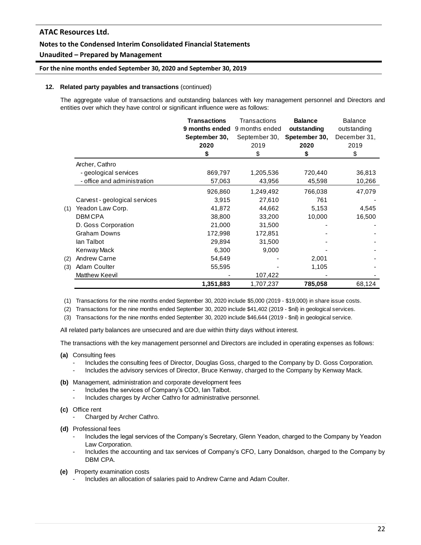### **Notes to the Condensed Interim Consolidated Financial Statements**

## **Unaudited – Prepared by Management**

### **For the nine months ended September 30, 2020 and September 30, 2019**

#### **12. Related party payables and transactions** (continued)

The aggregate value of transactions and outstanding balances with key management personnel and Directors and entities over which they have control or significant influence were as follows:

|     |                               | <b>Transactions</b><br>9 months ended<br>September 30,<br>2020<br>\$ | Transactions<br>9 months ended<br>September 30,<br>2019<br>\$ | <b>Balance</b><br>outstanding<br>Spetember 30,<br>2020<br>\$ | <b>Balance</b><br>outstanding<br>December 31,<br>2019<br>\$ |
|-----|-------------------------------|----------------------------------------------------------------------|---------------------------------------------------------------|--------------------------------------------------------------|-------------------------------------------------------------|
|     | Archer, Cathro                |                                                                      |                                                               |                                                              |                                                             |
|     | - geological services         | 869,797                                                              | 1,205,536                                                     | 720,440                                                      | 36,813                                                      |
|     | - office and administration   | 57,063                                                               | 43,956                                                        | 45,598                                                       | 10,266                                                      |
|     |                               | 926,860                                                              | 1,249,492                                                     | 766,038                                                      | 47,079                                                      |
|     | Carvest - geological services | 3,915                                                                | 27,610                                                        | 761                                                          |                                                             |
| (1) | Yeadon Law Corp.              | 41,872                                                               | 44,662                                                        | 5,153                                                        | 4,545                                                       |
|     | <b>DBMCPA</b>                 | 38,800                                                               | 33,200                                                        | 10,000                                                       | 16,500                                                      |
|     | D. Goss Corporation           | 21,000                                                               | 31,500                                                        |                                                              |                                                             |
|     | <b>Graham Downs</b>           | 172,998                                                              | 172,851                                                       |                                                              |                                                             |
|     | lan Talbot                    | 29,894                                                               | 31,500                                                        |                                                              |                                                             |
|     | Kenway Mack                   | 6,300                                                                | 9,000                                                         |                                                              |                                                             |
| (2) | <b>Andrew Carne</b>           | 54,649                                                               |                                                               | 2,001                                                        |                                                             |
| (3) | Adam Coulter                  | 55,595                                                               |                                                               | 1,105                                                        |                                                             |
|     | Matthew Keevil                |                                                                      | 107,422                                                       |                                                              |                                                             |
|     |                               | 1,351,883                                                            | 1,707,237                                                     | 785,058                                                      | 68,124                                                      |

(1) Transactions for the nine months ended September 30, 2020 include \$5,000 (2019 - \$19,000) in share issue costs.

(2) Transactions for the nine months ended September 30, 2020 include \$41,402 (2019 - \$nil) in geological services.

(3) Transactions for the nine months ended September 30, 2020 include \$46,644 (2019 - \$nil) in geological service.

All related party balances are unsecured and are due within thirty days without interest.

The transactions with the key management personnel and Directors are included in operating expenses as follows:

- **(a)** Consulting fees
	- Includes the consulting fees of Director, Douglas Goss, charged to the Company by D. Goss Corporation.
	- Includes the advisory services of Director, Bruce Kenway, charged to the Company by Kenway Mack.
- **(b)** Management, administration and corporate development fees
	- Includes the services of Company's COO, Ian Talbot.
	- Includes charges by Archer Cathro for administrative personnel.
- **(c)** Office rent
	- Charged by Archer Cathro.
- **(d)** Professional fees
	- Includes the legal services of the Company's Secretary, Glenn Yeadon, charged to the Company by Yeadon Law Corporation.
	- Includes the accounting and tax services of Company's CFO, Larry Donaldson, charged to the Company by DBM CPA.
- **(e)** Property examination costs
	- Includes an allocation of salaries paid to Andrew Carne and Adam Coulter.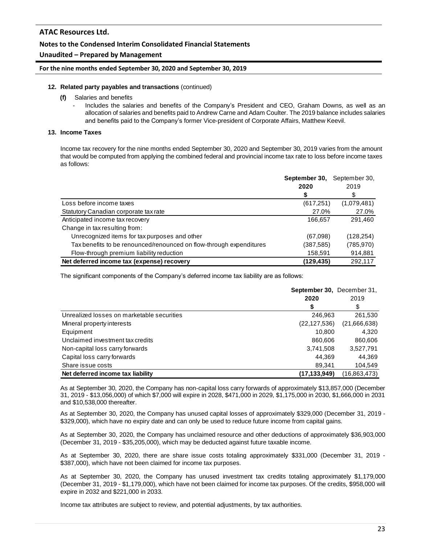### **Notes to the Condensed Interim Consolidated Financial Statements**

### **Unaudited – Prepared by Management**

### **For the nine months ended September 30, 2020 and September 30, 2019**

#### **12. Related party payables and transactions** (continued)

- **(f)** Salaries and benefits
	- Includes the salaries and benefits of the Company's President and CEO, Graham Downs, as well as an allocation of salaries and benefits paid to Andrew Carne and Adam Coulter. The 2019 balance includes salaries and benefits paid to the Company's former Vice-president of Corporate Affairs, Matthew Keevil.

#### **13. Income Taxes**

Income tax recovery for the nine months ended September 30, 2020 and September 30, 2019 varies from the amount that would be computed from applying the combined federal and provincial income tax rate to loss before income taxes as follows:

|                                                                     | September 30, | September 30, |
|---------------------------------------------------------------------|---------------|---------------|
|                                                                     | 2020          | 2019          |
|                                                                     |               |               |
| Loss before income taxes                                            | (617, 251)    | (1,079,481)   |
| Statutory Canadian corporate tax rate                               | 27.0%         | 27.0%         |
| Anticipated income tax recovery                                     | 166,657       | 291,460       |
| Change in tax resulting from:                                       |               |               |
| Unrecognized items for tax purposes and other                       | (67,098)      | (128, 254)    |
| Tax benefits to be renounced/renounced on flow-through expenditures | (387,585)     | (785, 970)    |
| Flow-through premium liability reduction                            | 158,591       | 914,881       |
| Net deferred income tax (expense) recovery                          | (129,435)     | 292,117       |

The significant components of the Company's deferred income tax liability are as follows:

|                                            | September 30, December 31, |              |
|--------------------------------------------|----------------------------|--------------|
|                                            | 2020                       | 2019         |
|                                            | S                          | \$           |
| Unrealized losses on marketable securities | 246,963                    | 261,530      |
| Mineral property interests                 | (22, 127, 536)             | (21,666,638) |
| Equipment                                  | 10.800                     | 4.320        |
| Unclaimed investment tax credits           | 860,606                    | 860,606      |
| Non-capital loss carry forwards            | 3,741,508                  | 3,527,791    |
| Capital loss carry forwards                | 44.369                     | 44.369       |
| Share issue costs                          | 89,341                     | 104,549      |
| Net deferred income tax liability          | (17, 133, 949)             | (16,863,473) |

As at September 30, 2020, the Company has non-capital loss carry forwards of approximately \$13,857,000 (December 31, 2019 - \$13,056,000) of which \$7,000 will expire in 2028, \$471,000 in 2029, \$1,175,000 in 2030, \$1,666,000 in 2031 and \$10,538,000 thereafter.

As at September 30, 2020, the Company has unused capital losses of approximately \$329,000 (December 31, 2019 - \$329,000), which have no expiry date and can only be used to reduce future income from capital gains.

As at September 30, 2020, the Company has unclaimed resource and other deductions of approximately \$36,903,000 (December 31, 2019 - \$35,205,000), which may be deducted against future taxable income.

As at September 30, 2020, there are share issue costs totaling approximately \$331,000 (December 31, 2019 - \$387,000), which have not been claimed for income tax purposes.

As at September 30, 2020, the Company has unused investment tax credits totaling approximately \$1,179,000 (December 31, 2019 - \$1,179,000), which have not been claimed for income tax purposes. Of the credits, \$958,000 will expire in 2032 and \$221,000 in 2033.

Income tax attributes are subject to review, and potential adjustments, by tax authorities.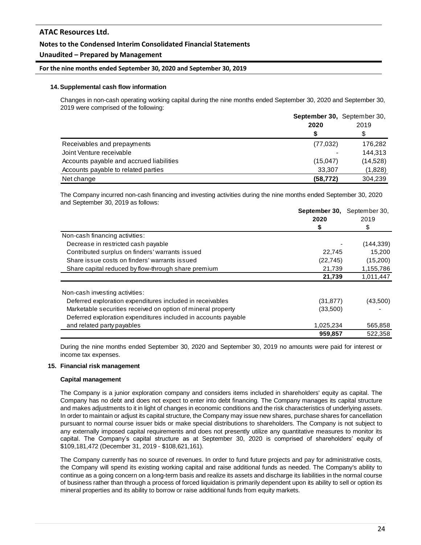### **Notes to the Condensed Interim Consolidated Financial Statements**

### **Unaudited – Prepared by Management**

#### **For the nine months ended September 30, 2020 and September 30, 2019**

#### **14. Supplemental cash flow information**

Changes in non-cash operating working capital during the nine months ended September 30, 2020 and September 30, 2019 were comprised of the following:

|                                          | <b>September 30, September 30,</b><br>2020 | 2019     |  |
|------------------------------------------|--------------------------------------------|----------|--|
|                                          | S                                          | \$       |  |
| Receivables and prepayments              | (77, 032)                                  | 176,282  |  |
| Joint Venture receivable                 |                                            | 144.313  |  |
| Accounts payable and accrued liabilities | (15,047)                                   | (14,528) |  |
| Accounts payable to related parties      | 33.307                                     | (1,828)  |  |
| Net change                               | (58, 772)                                  | 304.239  |  |

The Company incurred non-cash financing and investing activities during the nine months ended September 30, 2020 and September 30, 2019 as follows:

|                                                                | September 30, | September 30, |  |
|----------------------------------------------------------------|---------------|---------------|--|
|                                                                | 2020          | 2019          |  |
|                                                                | S             | S             |  |
| Non-cash financing activities:                                 |               |               |  |
| Decrease in restricted cash payable                            |               | (144, 339)    |  |
| Contributed surplus on finders' warrants issued                | 22,745        | 15,200        |  |
| Share issue costs on finders' warrants issued                  | (22, 745)     | (15,200)      |  |
| Share capital reduced by flow-through share premium            | 21,739        | 1,155,786     |  |
|                                                                | 21,739        | 1,011,447     |  |
| Non-cash investing activities:                                 |               |               |  |
| Deferred exploration expenditures included in receivables      | (31, 877)     | (43,500)      |  |
| Marketable securities received on option of mineral property   | (33,500)      |               |  |
| Deferred exploration expenditures included in accounts payable |               |               |  |
| and related party payables                                     | 1,025,234     | 565,858       |  |
|                                                                | 959,857       | 522,358       |  |

During the nine months ended September 30, 2020 and September 30, 2019 no amounts were paid for interest or income tax expenses.

#### **15. Financial risk management**

#### **Capital management**

The Company is a junior exploration company and considers items included in shareholders' equity as capital. The Company has no debt and does not expect to enter into debt financing. The Company manages its capital structure and makes adjustments to it in light of changes in economic conditions and the risk characteristics of underlying assets. In order to maintain or adjust its capital structure, the Company may issue new shares, purchase shares for cancellation pursuant to normal course issuer bids or make special distributions to shareholders. The Company is not subject to any externally imposed capital requirements and does not presently utilize any quantitative measures to monitor its capital. The Company's capital structure as at September 30, 2020 is comprised of shareholders' equity of \$109,181,472 (December 31, 2019 - \$108,621,161).

The Company currently has no source of revenues. In order to fund future projects and pay for administrative costs, the Company will spend its existing working capital and raise additional funds as needed. The Company's ability to continue as a going concern on a long-term basis and realize its assets and discharge its liabilities in the normal course of business rather than through a process of forced liquidation is primarily dependent upon its ability to sell or option its mineral properties and its ability to borrow or raise additional funds from equity markets.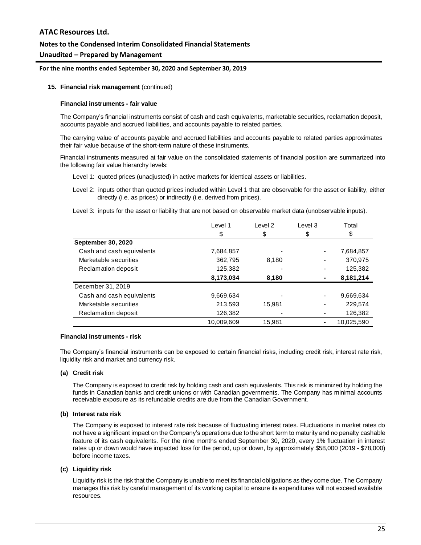### **Notes to the Condensed Interim Consolidated Financial Statements**

### **Unaudited – Prepared by Management**

#### **For the nine months ended September 30, 2020 and September 30, 2019**

#### **15. Financial risk management** (continued)

#### **Financial instruments - fair value**

The Company's financial instruments consist of cash and cash equivalents, marketable securities, reclamation deposit, accounts payable and accrued liabilities, and accounts payable to related parties.

The carrying value of accounts payable and accrued liabilities and accounts payable to related parties approximates their fair value because of the short-term nature of these instruments.

Financial instruments measured at fair value on the consolidated statements of financial position are summarized into the following fair value hierarchy levels:

- Level 1: quoted prices (unadjusted) in active markets for identical assets or liabilities.
- Level 2: inputs other than quoted prices included within Level 1 that are observable for the asset or liability, either directly (i.e. as prices) or indirectly (i.e. derived from prices).
- Level 3: inputs for the asset or liability that are not based on observable market data (unobservable inputs).

|                           | Level 1    | Level <sub>2</sub> | Level 3 | Total      |
|---------------------------|------------|--------------------|---------|------------|
|                           | \$         | \$                 | \$      | \$         |
| <b>September 30, 2020</b> |            |                    |         |            |
| Cash and cash equivalents | 7,684,857  |                    |         | 7,684,857  |
| Marketable securities     | 362,795    | 8,180              |         | 370,975    |
| Reclamation deposit       | 125,382    |                    |         | 125,382    |
|                           | 8,173,034  | 8,180              |         | 8,181,214  |
| December 31, 2019         |            |                    |         |            |
| Cash and cash equivalents | 9,669,634  |                    |         | 9,669,634  |
| Marketable securities     | 213,593    | 15.981             |         | 229,574    |
| Reclamation deposit       | 126,382    |                    |         | 126,382    |
|                           | 10,009,609 | 15.981             |         | 10.025.590 |

### **Financial instruments - risk**

The Company's financial instruments can be exposed to certain financial risks, including credit risk, interest rate risk, liquidity risk and market and currency risk.

#### **(a) Credit risk**

The Company is exposed to credit risk by holding cash and cash equivalents. This risk is minimized by holding the funds in Canadian banks and credit unions or with Canadian governments. The Company has minimal accounts receivable exposure as its refundable credits are due from the Canadian Government.

#### **(b) Interest rate risk**

The Company is exposed to interest rate risk because of fluctuating interest rates. Fluctuations in market rates do not have a significant impact on the Company's operations due to the short term to maturity and no penalty cashable feature of its cash equivalents. For the nine months ended September 30, 2020, every 1% fluctuation in interest rates up or down would have impacted loss for the period, up or down, by approximately \$58,000 (2019 - \$78,000) before income taxes.

#### **(c) Liquidity risk**

Liquidity risk is the risk that the Company is unable to meet its financial obligations as they come due. The Company manages this risk by careful management of its working capital to ensure its expenditures will not exceed available resources.